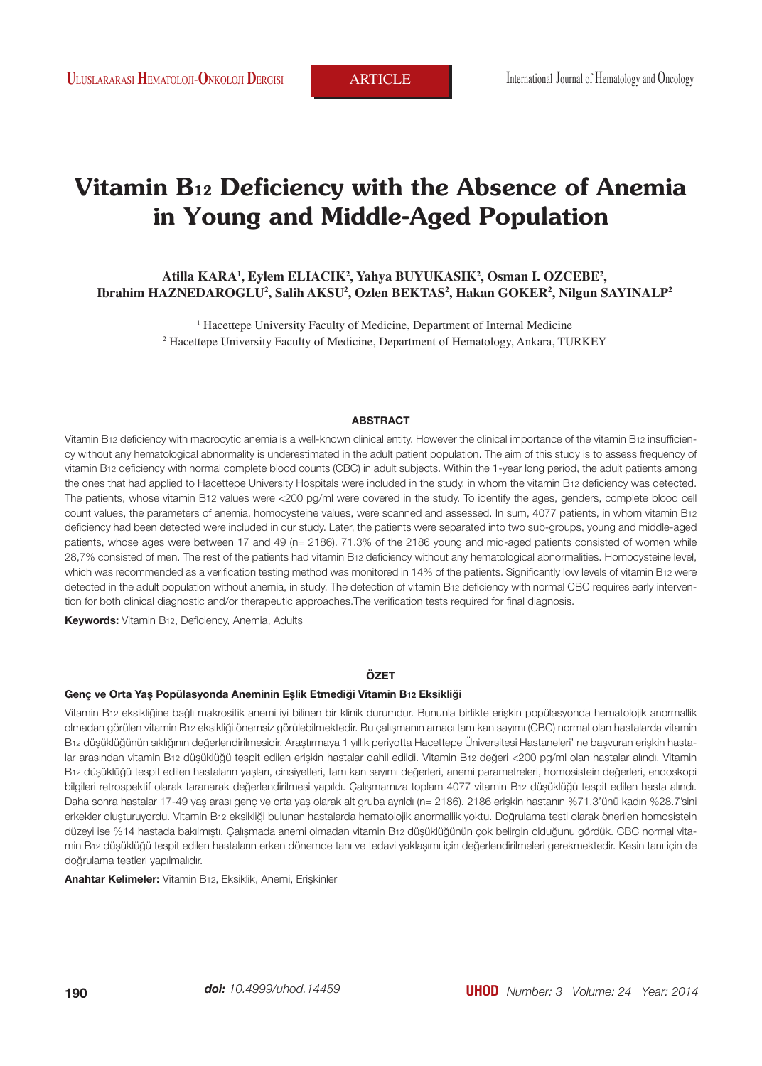# **Vitamin B12 Deficiency with the Absence of Anemia in Young and Middle-Aged Population**

# **Atilla KARA1 , Eylem ELIACIK2 , Yahya BUYUKASIK2 , Osman I. OZCEBE2 , Ibrahim HAZNEDAROGLU2 , Salih AKSU2 , Ozlen BEKTAS2 , Hakan GOKER2 , Nilgun SAYINALP2**

<sup>1</sup> Hacettepe University Faculty of Medicine, Department of Internal Medicine 2 Hacettepe University Faculty of Medicine, Department of Hematology, Ankara, TURKEY

#### **ABSTRACT**

Vitamin B12 deficiency with macrocytic anemia is a well-known clinical entity. However the clinical importance of the vitamin B12 insufficiency without any hematological abnormality is underestimated in the adult patient population. The aim of this study is to assess frequency of vitamin B12 deficiency with normal complete blood counts (CBC) in adult subjects. Within the 1-year long period, the adult patients among the ones that had applied to Hacettepe University Hospitals were included in the study, in whom the vitamin B12 deficiency was detected. The patients, whose vitamin B12 values were <200 pg/ml were covered in the study. To identify the ages, genders, complete blood cell count values, the parameters of anemia, homocysteine values, were scanned and assessed. In sum, 4077 patients, in whom vitamin B12 deficiency had been detected were included in our study. Later, the patients were separated into two sub-groups, young and middle-aged patients, whose ages were between 17 and 49 (n= 2186). 71.3% of the 2186 young and mid-aged patients consisted of women while 28,7% consisted of men. The rest of the patients had vitamin B12 deficiency without any hematological abnormalities. Homocysteine level, which was recommended as a verification testing method was monitored in 14% of the patients. Significantly low levels of vitamin B12 were detected in the adult population without anemia, in study. The detection of vitamin B12 deficiency with normal CBC requires early intervention for both clinical diagnostic and/or therapeutic approaches.The verification tests required for final diagnosis.

**Keywords:** Vitamin B12, Deficiency, Anemia, Adults

#### **ÖZET**

#### **Genç ve Orta Yaş Popülasyonda Aneminin Eşlik Etmediği Vitamin B12 Eksikliği**

Vitamin B12 eksikliğine bağlı makrositik anemi iyi bilinen bir klinik durumdur. Bununla birlikte erişkin popülasyonda hematolojik anormallik olmadan görülen vitamin B12 eksikliği önemsiz görülebilmektedir. Bu çalışmanın amacı tam kan sayımı (CBC) normal olan hastalarda vitamin B12 düşüklüğünün sıklığının değerlendirilmesidir. Araştırmaya 1 yıllık periyotta Hacettepe Üniversitesi Hastaneleri' ne başvuran erişkin hastalar arasından vitamin B12 düşüklüğü tespit edilen erişkin hastalar dahil edildi. Vitamin B12 değeri <200 pg/ml olan hastalar alındı. Vitamin B12 düşüklüğü tespit edilen hastaların yaşları, cinsiyetleri, tam kan sayımı değerleri, anemi parametreleri, homosistein değerleri, endoskopi bilgileri retrospektif olarak taranarak değerlendirilmesi yapıldı. Çalışmamıza toplam 4077 vitamin B12 düşüklüğü tespit edilen hasta alındı. Daha sonra hastalar 17-49 yaş arası genç ve orta yaş olarak alt gruba ayrıldı (n= 2186). 2186 erişkin hastanın %71.3'ünü kadın %28.7'sini erkekler oluşturuyordu. Vitamin B12 eksikliği bulunan hastalarda hematolojik anormallik yoktu. Doğrulama testi olarak önerilen homosistein düzeyi ise %14 hastada bakılmıştı. Çalışmada anemi olmadan vitamin B12 düşüklüğünün çok belirgin olduğunu gördük. CBC normal vitamin B12 düşüklüğü tespit edilen hastaların erken dönemde tanı ve tedavi yaklaşımı için değerlendirilmeleri gerekmektedir. Kesin tanı için de doğrulama testleri yapılmalıdır.

**Anahtar Kelimeler:** Vitamin B12, Eksiklik, Anemi, Erişkinler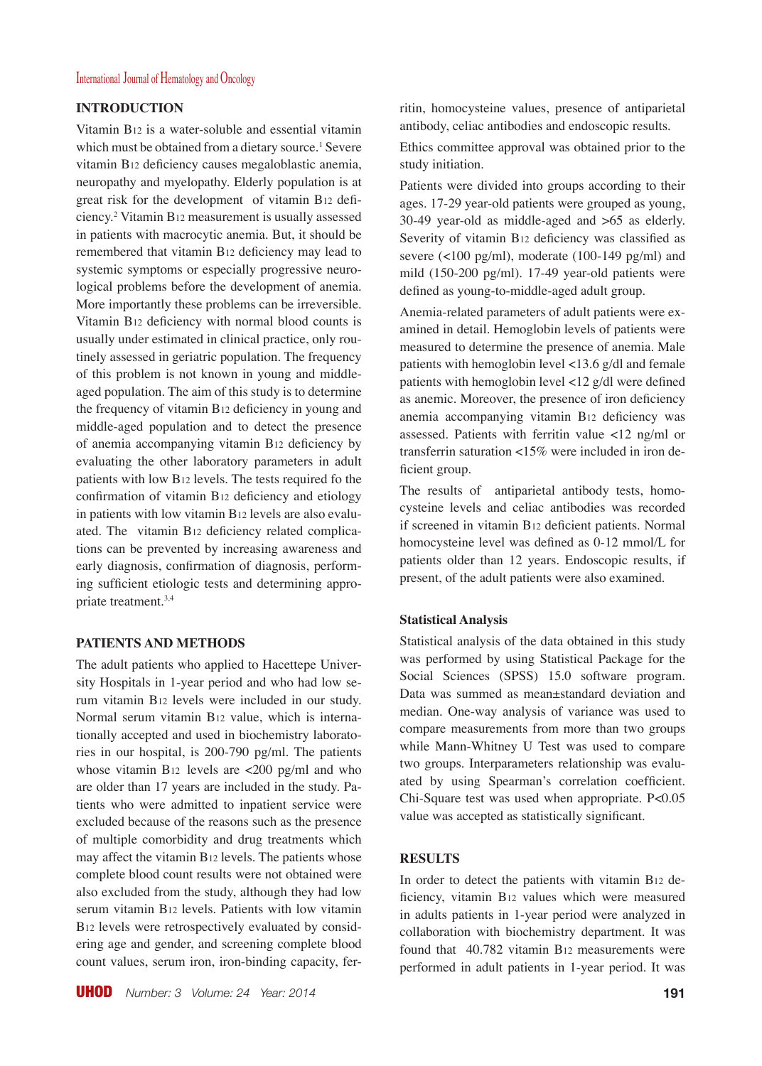# International Journal of Hematology and Oncology

# **INTRODUCTION**

Vitamin B12 is a water-soluble and essential vitamin which must be obtained from a dietary source.<sup>1</sup> Severe vitamin B12 deficiency causes megaloblastic anemia, neuropathy and myelopathy. Elderly population is at great risk for the development of vitamin B12 deficiency.2 Vitamin B12 measurement is usually assessed in patients with macrocytic anemia. But, it should be remembered that vitamin B12 deficiency may lead to systemic symptoms or especially progressive neurological problems before the development of anemia. More importantly these problems can be irreversible. Vitamin B12 deficiency with normal blood counts is usually under estimated in clinical practice, only routinely assessed in geriatric population. The frequency of this problem is not known in young and middleaged population. The aim of this study is to determine the frequency of vitamin B12 deficiency in young and middle-aged population and to detect the presence of anemia accompanying vitamin B12 deficiency by evaluating the other laboratory parameters in adult patients with low B12 levels. The tests required fo the confirmation of vitamin B12 deficiency and etiology in patients with low vitamin B12 levels are also evaluated. The vitamin B12 deficiency related complications can be prevented by increasing awareness and early diagnosis, confirmation of diagnosis, performing sufficient etiologic tests and determining appropriate treatment.3,4

# **PATIENTS AND METHODS**

The adult patients who applied to Hacettepe University Hospitals in 1-year period and who had low serum vitamin B12 levels were included in our study. Normal serum vitamin B12 value, which is internationally accepted and used in biochemistry laboratories in our hospital, is 200-790 pg/ml. The patients whose vitamin B12 levels are  $\langle 200 \text{ pg/ml} \rangle$  and who are older than 17 years are included in the study. Patients who were admitted to inpatient service were excluded because of the reasons such as the presence of multiple comorbidity and drug treatments which may affect the vitamin B12 levels. The patients whose complete blood count results were not obtained were also excluded from the study, although they had low serum vitamin B12 levels. Patients with low vitamin B12 levels were retrospectively evaluated by considering age and gender, and screening complete blood count values, serum iron, iron-binding capacity, ferritin, homocysteine values, presence of antiparietal antibody, celiac antibodies and endoscopic results.

Ethics committee approval was obtained prior to the study initiation.

Patients were divided into groups according to their ages. 17-29 year-old patients were grouped as young, 30-49 year-old as middle-aged and >65 as elderly. Severity of vitamin B12 deficiency was classified as severe (<100 pg/ml), moderate (100-149 pg/ml) and mild (150-200 pg/ml). 17-49 year-old patients were defined as young-to-middle-aged adult group.

Anemia-related parameters of adult patients were examined in detail. Hemoglobin levels of patients were measured to determine the presence of anemia. Male patients with hemoglobin level <13.6 g/dl and female patients with hemoglobin level <12 g/dl were defined as anemic. Moreover, the presence of iron deficiency anemia accompanying vitamin B12 deficiency was assessed. Patients with ferritin value <12 ng/ml or transferrin saturation <15% were included in iron deficient group.

The results of antiparietal antibody tests, homocysteine levels and celiac antibodies was recorded if screened in vitamin B12 deficient patients. Normal homocysteine level was defined as 0-12 mmol/L for patients older than 12 years. Endoscopic results, if present, of the adult patients were also examined.

#### **Statistical Analysis**

Statistical analysis of the data obtained in this study was performed by using Statistical Package for the Social Sciences (SPSS) 15.0 software program. Data was summed as mean±standard deviation and median. One-way analysis of variance was used to compare measurements from more than two groups while Mann-Whitney U Test was used to compare two groups. Interparameters relationship was evaluated by using Spearman's correlation coefficient. Chi-Square test was used when appropriate. P<0.05 value was accepted as statistically significant.

# **RESULTS**

In order to detect the patients with vitamin B12 deficiency, vitamin B12 values which were measured in adults patients in 1-year period were analyzed in collaboration with biochemistry department. It was found that 40.782 vitamin B12 measurements were performed in adult patients in 1-year period. It was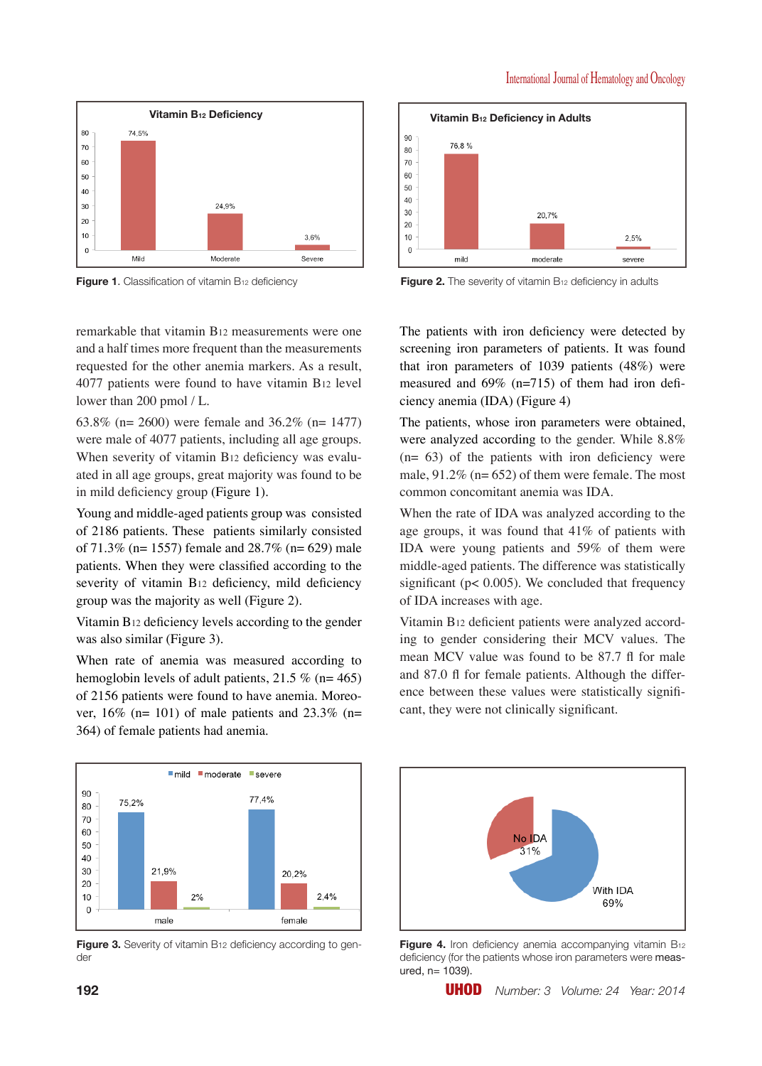

**Figure 1.** Classification of vitamin B<sub>12</sub> deficiency **Figure 2.** The severity of vitamin B<sub>12</sub> deficiency in adults

remarkable that vitamin B12 measurements were one and a half times more frequent than the measurements requested for the other anemia markers. As a result, 4077 patients were found to have vitamin B12 level lower than 200 pmol / L.

63.8% (n= 2600) were female and 36.2% (n= 1477) were male of 4077 patients, including all age groups. When severity of vitamin B12 deficiency was evaluated in all age groups, great majority was found to be in mild deficiency group (Figure 1).

Young and middle-aged patients group was consisted of 2186 patients. These patients similarly consisted of  $71.3\%$  (n= 1557) female and  $28.7\%$  (n= 629) male patients. When they were classified according to the severity of vitamin B12 deficiency, mild deficiency group was the majority as well (Figure 2).

Vitamin B12 deficiency levels according to the gender was also similar (Figure 3).

When rate of anemia was measured according to hemoglobin levels of adult patients,  $21.5\%$  (n= 465) of 2156 patients were found to have anemia. Moreover,  $16\%$  (n= 101) of male patients and  $23.3\%$  (n= 364) of female patients had anemia.



**Figure 3.** Severity of vitamin B12 deficiency according to gender



The patients with iron deficiency were detected by screening iron parameters of patients. It was found that iron parameters of 1039 patients (48%) were measured and 69% (n=715) of them had iron deficiency anemia (IDA) (Figure 4)

The patients, whose iron parameters were obtained, were analyzed according to the gender. While 8.8%  $(n= 63)$  of the patients with iron deficiency were male,  $91.2\%$  (n= 652) of them were female. The most common concomitant anemia was IDA.

When the rate of IDA was analyzed according to the age groups, it was found that 41% of patients with IDA were young patients and 59% of them were middle-aged patients. The difference was statistically significant ( $p$ < 0.005). We concluded that frequency of IDA increases with age.

Vitamin B12 deficient patients were analyzed according to gender considering their MCV values. The mean MCV value was found to be 87.7 fl for male and 87.0 fl for female patients. Although the difference between these values were statistically significant, they were not clinically significant.



**Figure 4.** Iron deficiency anemia accompanying vitamin B<sub>12</sub> deficiency (for the patients whose iron parameters were measured, n= 1039).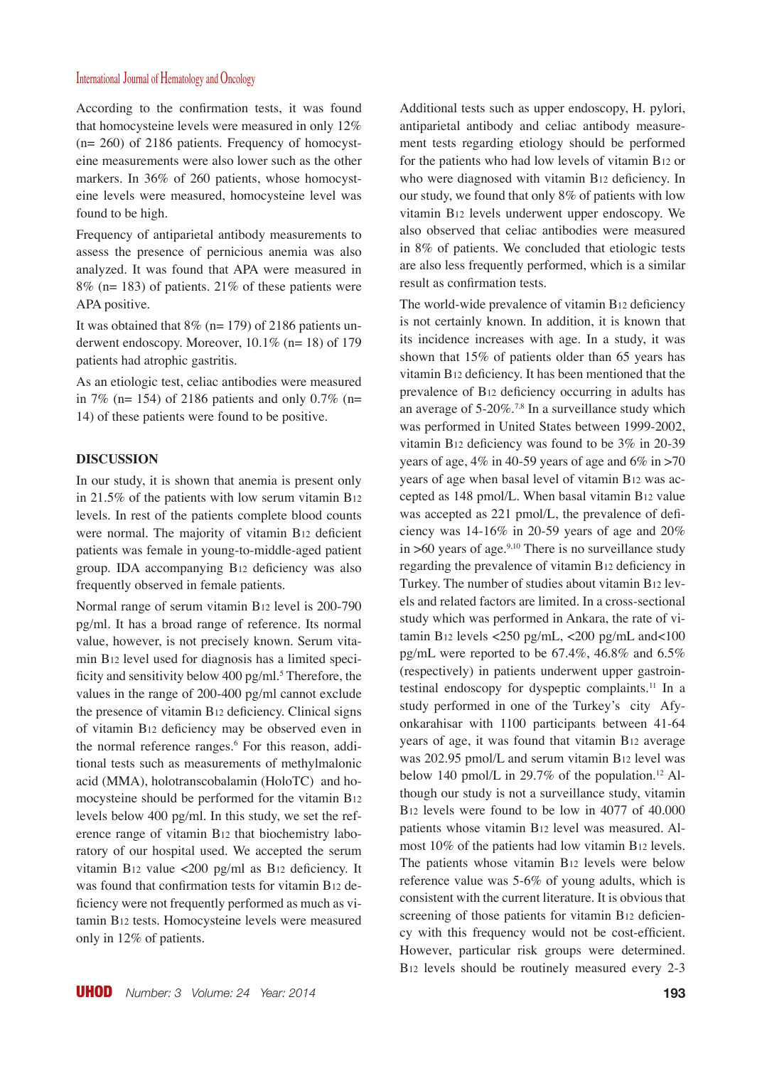# International Journal of Hematology and Oncology

According to the confirmation tests, it was found that homocysteine levels were measured in only 12% (n= 260) of 2186 patients. Frequency of homocysteine measurements were also lower such as the other markers. In 36% of 260 patients, whose homocysteine levels were measured, homocysteine level was found to be high.

Frequency of antiparietal antibody measurements to assess the presence of pernicious anemia was also analyzed. It was found that APA were measured in 8% (n= 183) of patients. 21% of these patients were APA positive.

It was obtained that  $8\%$  (n= 179) of 2186 patients underwent endoscopy. Moreover, 10.1% (n= 18) of 179 patients had atrophic gastritis.

As an etiologic test, celiac antibodies were measured in 7% (n= 154) of 2186 patients and only 0.7% (n= 14) of these patients were found to be positive.

#### **DISCUSSION**

In our study, it is shown that anemia is present only in 21.5% of the patients with low serum vitamin B12 levels. In rest of the patients complete blood counts were normal. The majority of vitamin B12 deficient patients was female in young-to-middle-aged patient group. IDA accompanying B12 deficiency was also frequently observed in female patients.

Normal range of serum vitamin B12 level is 200-790 pg/ml. It has a broad range of reference. Its normal value, however, is not precisely known. Serum vitamin B12 level used for diagnosis has a limited specificity and sensitivity below 400 pg/ml.<sup>5</sup> Therefore, the values in the range of 200-400 pg/ml cannot exclude the presence of vitamin B12 deficiency. Clinical signs of vitamin B12 deficiency may be observed even in the normal reference ranges.<sup>6</sup> For this reason, additional tests such as measurements of methylmalonic acid (MMA), holotranscobalamin (HoloTC) and homocysteine should be performed for the vitamin B12 levels below 400 pg/ml. In this study, we set the reference range of vitamin B12 that biochemistry laboratory of our hospital used. We accepted the serum vitamin B12 value <200 pg/ml as B12 deficiency. It was found that confirmation tests for vitamin B12 deficiency were not frequently performed as much as vitamin B12 tests. Homocysteine levels were measured only in 12% of patients.

Additional tests such as upper endoscopy, H. pylori, antiparietal antibody and celiac antibody measurement tests regarding etiology should be performed for the patients who had low levels of vitamin B12 or who were diagnosed with vitamin B12 deficiency. In our study, we found that only 8% of patients with low vitamin B12 levels underwent upper endoscopy. We also observed that celiac antibodies were measured in 8% of patients. We concluded that etiologic tests are also less frequently performed, which is a similar result as confirmation tests.

The world-wide prevalence of vitamin B12 deficiency is not certainly known. In addition, it is known that its incidence increases with age. In a study, it was shown that 15% of patients older than 65 years has vitamin B12 deficiency. It has been mentioned that the prevalence of B12 deficiency occurring in adults has an average of  $5{\text -}20\%$ .<sup>7,8</sup> In a surveillance study which was performed in United States between 1999-2002, vitamin B12 deficiency was found to be 3% in 20-39 years of age,  $4\%$  in 40-59 years of age and  $6\%$  in  $>70$ years of age when basal level of vitamin B12 was accepted as 148 pmol/L. When basal vitamin B12 value was accepted as 221 pmol/L, the prevalence of deficiency was 14-16% in 20-59 years of age and 20% in  $>60$  years of age.<sup>9,10</sup> There is no surveillance study regarding the prevalence of vitamin B12 deficiency in Turkey. The number of studies about vitamin B12 levels and related factors are limited. In a cross-sectional study which was performed in Ankara, the rate of vitamin B<sub>12</sub> levels <250 pg/mL, <200 pg/mL and<100 pg/mL were reported to be 67.4%, 46.8% and 6.5% (respectively) in patients underwent upper gastrointestinal endoscopy for dyspeptic complaints.11 In a study performed in one of the Turkey's city Afyonkarahisar with 1100 participants between 41-64 years of age, it was found that vitamin B12 average was 202.95 pmol/L and serum vitamin B12 level was below 140 pmol/L in 29.7% of the population.<sup>12</sup> Although our study is not a surveillance study, vitamin B12 levels were found to be low in 4077 of 40.000 patients whose vitamin B12 level was measured. Almost 10% of the patients had low vitamin B12 levels. The patients whose vitamin B12 levels were below reference value was 5-6% of young adults, which is consistent with the current literature. It is obvious that screening of those patients for vitamin B12 deficiency with this frequency would not be cost-efficient. However, particular risk groups were determined. B12 levels should be routinely measured every 2-3